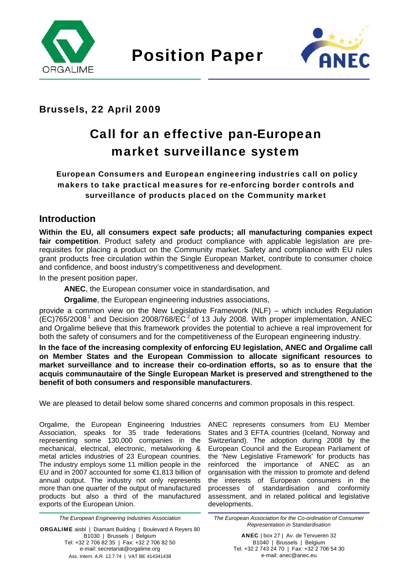



## Brussels, 22 April 2009

# Call for an effective pan-European market surveillance system

 European Consumers and European engineering industries call on policy makers to take practical measures for re-enforcing border controls and surveillance of products placed on the Community market

### **Introduction**

**Within the EU, all consumers expect safe products; all manufacturing companies expect fair competition**. Product safety and product compliance with applicable legislation are prerequisites for placing a product on the Community market. Safety and compliance with EU rules grant products free circulation within the Single European Market, contribute to consumer choice and confidence, and boost industry's competitiveness and development.

In the present position paper,

**ANEC**, the European consumer voice in standardisation, and

**Orgalime**, the European engineering industries associations,

provide a common view on the New Legislative Framework (NLF) – which includes Regulation  $(EC)765/2008<sup>1</sup>$  and Decision 2008/768/EC<sup>2</sup> of 13 July 2008. With proper implementation, ANEC and Orgalime believe that this framework provides the potential to achieve a real improvement for both the safety of consumers and for the competitiveness of the European engineering industry.

**In the face of the increasing complexity of enforcing EU legislation, ANEC and Orgalime call on Member States and the European Commission to allocate significant resources to market surveillance and to increase their co-ordination efforts, so as to ensure that the acquis communautaire of the Single European Market is preserved and strengthened to the benefit of both consumers and responsible manufacturers**.

We are pleased to detail below some shared concerns and common proposals in this respect.

Orgalime, the European Engineering Industries Association, speaks for 35 trade federations representing some 130,000 companies in the mechanical, electrical, electronic, metalworking & metal articles industries of 23 European countries. The industry employs some 11 million people in the EU and in 2007 accounted for some €1,813 billion of annual output. The industry not only represents more than one quarter of the output of manufactured products but also a third of the manufactured exports of the European Union.

*The European Engineering Industries Association* 

ORGALIME aisbl | Diamant Building | Boulevard A Reyers 80 B1030 | Brussels | Belgium Tel: +32 2 706 82 35 | Fax: +32 2 706 82 50 e-mail: secretariat@orgalime.org Ass. Intern. A.R. 12.7.74 | VAT BE 414341438

ANEC represents consumers from EU Member States and 3 EFTA countries (Iceland, Norway and Switzerland). The adoption during 2008 by the European Council and the European Parliament of the 'New Legislative Framework' for products has reinforced the importance of ANEC as an organisation with the mission to promote and defend the interests of European consumers in the processes of standardisation and conformity assessment, and in related political and legislative developments.

*The European Association for the Co-ordination of Consumer Representation in Standardisation* 

> ANEC | box 27 | Av. de Tervueren 32 B1040 | Brussels | Belgium Tel: +32 2 743 24 70 | Fax: +32 2 706 54 30 e-mail: anec@anec.eu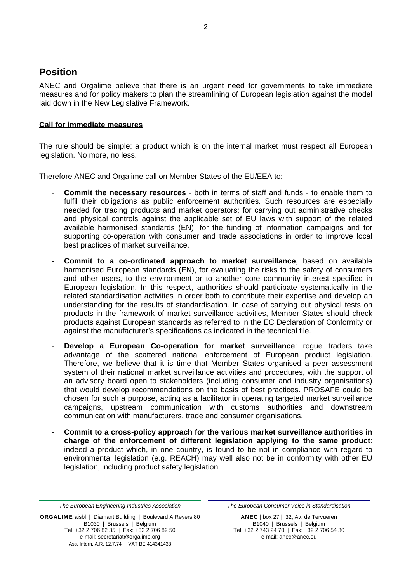## **Position**

ANEC and Orgalime believe that there is an urgent need for governments to take immediate measures and for policy makers to plan the streamlining of European legislation against the model laid down in the New Legislative Framework.

#### **Call for immediate measures**

The rule should be simple: a product which is on the internal market must respect all European legislation. No more, no less.

Therefore ANEC and Orgalime call on Member States of the EU/EEA to:

- **Commit the necessary resources** both in terms of staff and funds to enable them to fulfil their obligations as public enforcement authorities. Such resources are especially needed for tracing products and market operators; for carrying out administrative checks and physical controls against the applicable set of EU laws with support of the related available harmonised standards (EN); for the funding of information campaigns and for supporting co-operation with consumer and trade associations in order to improve local best practices of market surveillance.
- **Commit to a co-ordinated approach to market surveillance**, based on available harmonised European standards (EN), for evaluating the risks to the safety of consumers and other users, to the environment or to another core community interest specified in European legislation. In this respect, authorities should participate systematically in the related standardisation activities in order both to contribute their expertise and develop an understanding for the results of standardisation. In case of carrying out physical tests on products in the framework of market surveillance activities, Member States should check products against European standards as referred to in the EC Declaration of Conformity or against the manufacturer's specifications as indicated in the technical file.
- **Develop a European Co-operation for market surveillance**: rogue traders take advantage of the scattered national enforcement of European product legislation. Therefore, we believe that it is time that Member States organised a peer assessment system of their national market surveillance activities and procedures, with the support of an advisory board open to stakeholders (including consumer and industry organisations) that would develop recommendations on the basis of best practices. PROSAFE could be chosen for such a purpose, acting as a facilitator in operating targeted market surveillance campaigns, upstream communication with customs authorities and downstream communication with manufacturers, trade and consumer organisations.
- **Commit to a cross-policy approach for the various market surveillance authorities in charge of the enforcement of different legislation applying to the same product**: indeed a product which, in one country, is found to be not in compliance with regard to environmental legislation (e.g. REACH) may well also not be in conformity with other EU legislation, including product safety legislation.

ORGALIME aisbl | Diamant Building | Boulevard A Reyers 80 B1030 | Brussels | Belgium Tel: +32 2 706 82 35 | Fax: +32 2 706 82 50 e-mail: secretariat@orgalime.org Ass. Intern. A.R. 12.7.74 | VAT BE 414341438

*The European Consumer Voice in Standardisation* 

ANEC | box 27 | 32, Av. de Tervueren B1040 | Brussels | Belgium Tel: +32 2 743 24 70 | Fax: +32 2 706 54 30 e-mail: anec@anec.eu

*The European Engineering Industries Association*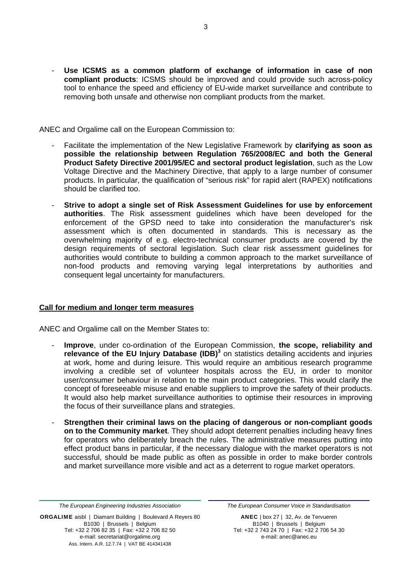Use ICSMS as a common platform of exchange of information in case of non **compliant products**: ICSMS should be improved and could provide such across-policy tool to enhance the speed and efficiency of EU-wide market surveillance and contribute to removing both unsafe and otherwise non compliant products from the market.

ANEC and Orgalime call on the European Commission to:

- Facilitate the implementation of the New Legislative Framework by **clarifying as soon as possible the relationship between Regulation 765/2008/EC and both the General Product Safety Directive 2001/95/EC and sectoral product legislation**, such as the Low Voltage Directive and the Machinery Directive, that apply to a large number of consumer products. In particular, the qualification of "serious risk" for rapid alert (RAPEX) notifications should be clarified too.
- **Strive to adopt a single set of Risk Assessment Guidelines for use by enforcement authorities**. The Risk assessment guidelines which have been developed for the enforcement of the GPSD need to take into consideration the manufacturer's risk assessment which is often documented in standards. This is necessary as the overwhelming majority of e.g. electro-technical consumer products are covered by the design requirements of sectoral legislation. Such clear risk assessment guidelines for authorities would contribute to building a common approach to the market surveillance of non-food products and removing varying legal interpretations by authorities and consequent legal uncertainty for manufacturers.

#### **Call for medium and longer term measures**

ANEC and Orgalime call on the Member States to:

- **Improve**, under co-ordination of the European Commission, **the scope, reliability and relevance of the EU Injury Database (IDB)**<sup>3</sup> on statistics detailing accidents and injuries at work, home and during leisure. This would require an ambitious research programme involving a credible set of volunteer hospitals across the EU, in order to monitor user/consumer behaviour in relation to the main product categories. This would clarify the concept of foreseeable misuse and enable suppliers to improve the safety of their products. It would also help market surveillance authorities to optimise their resources in improving the focus of their surveillance plans and strategies.
- **Strengthen their criminal laws on the placing of dangerous or non-compliant goods on to the Community market**. They should adopt deterrent penalties including heavy fines for operators who deliberately breach the rules. The administrative measures putting into effect product bans in particular, if the necessary dialogue with the market operators is not successful, should be made public as often as possible in order to make border controls and market surveillance more visible and act as a deterrent to rogue market operators.

ORGALIME aisbl | Diamant Building | Boulevard A Reyers 80 B1030 | Brussels | Belgium Tel: +32 2 706 82 35 | Fax: +32 2 706 82 50 e-mail: secretariat@orgalime.org Ass. Intern. A.R. 12.7.74 | VAT BE 414341438

*The European Consumer Voice in Standardisation* 

ANEC | box 27 | 32, Av. de Tervueren B1040 | Brussels | Belgium Tel: +32 2 743 24 70 | Fax: +32 2 706 54 30 e-mail: anec@anec.eu

*The European Engineering Industries Association*